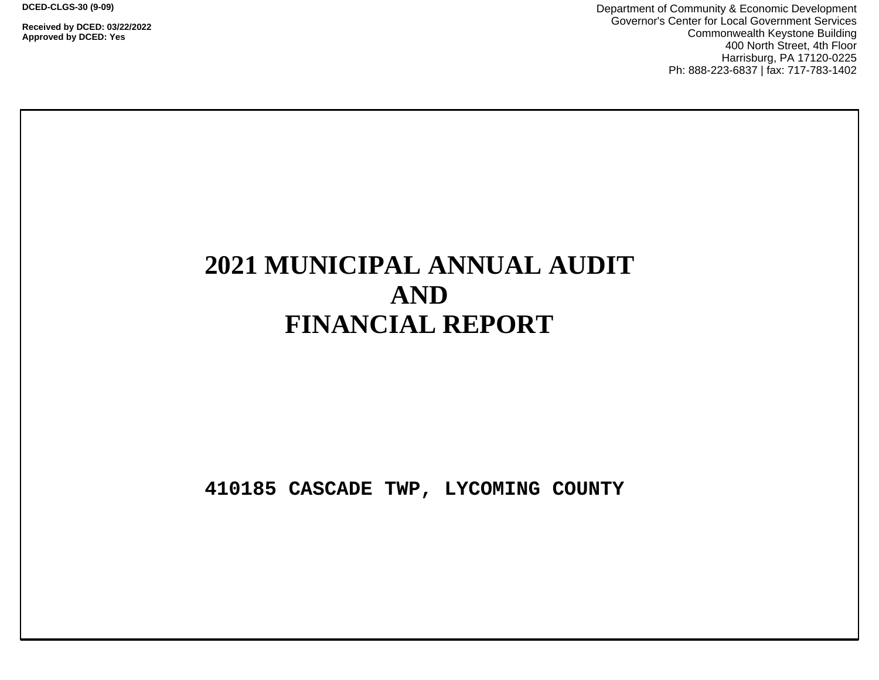**DCED-CLGS-30 (9-09)**

**Received by DCED: 03/22/2022 Approved by DCED: Yes**

Department of Community & Economic Development Governor's Center for Local Government Services Commonwealth Keystone Building 400 North Street, 4th Floor Harrisburg, PA 17120-0225 Ph: 888-223-6837 | fax: 717-783-1402

# **2021 MUNICIPAL ANNUAL AUDIT AND FINANCIAL REPORT**

**410185 CASCADE TWP, LYCOMING COUNTY**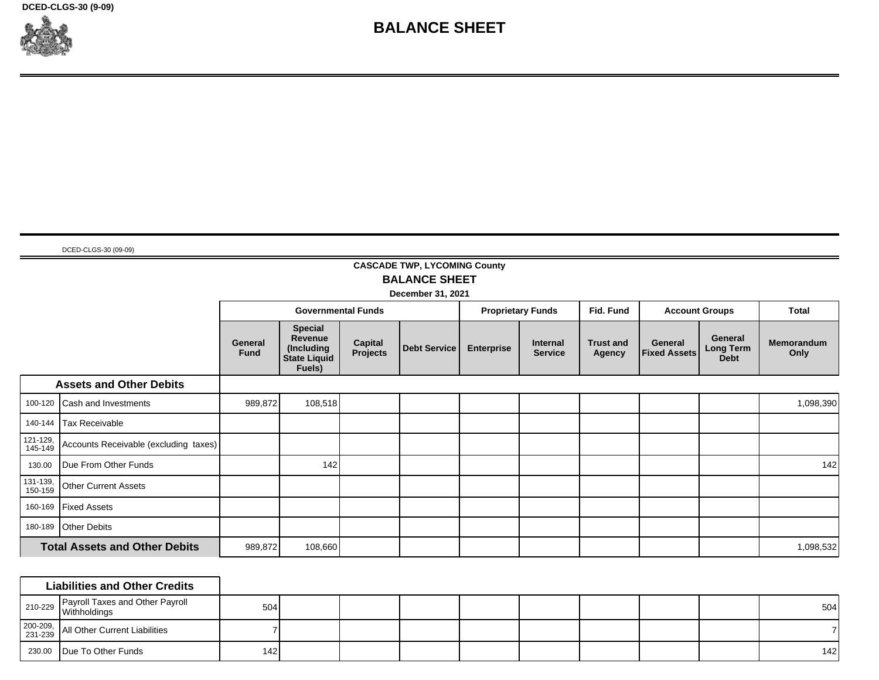**DCED-CLGS-30 (9-09)**



## **BALANCE SHEET**

DCED-CLGS-30 (09-09)

## **CASCADE TWP, LYCOMING County BALANCE SHEET**

**December 31, 2021**

|                     |                                       |                        | <b>Governmental Funds</b>                                                       |                     | <b>Proprietary Funds</b> |                   | Fid. Fund                  | <b>Account Groups</b>      |                                | <b>Total</b>                               |                           |
|---------------------|---------------------------------------|------------------------|---------------------------------------------------------------------------------|---------------------|--------------------------|-------------------|----------------------------|----------------------------|--------------------------------|--------------------------------------------|---------------------------|
|                     |                                       | General<br><b>Fund</b> | <b>Special</b><br><b>Revenue</b><br>(Including<br><b>State Liquid</b><br>Fuels) | Capital<br>Projects | <b>Debt Service</b>      | <b>Enterprise</b> | Internal<br><b>Service</b> | <b>Trust and</b><br>Agency | General<br><b>Fixed Assets</b> | General<br><b>Long Term</b><br><b>Debt</b> | <b>Memorandum</b><br>Only |
|                     | <b>Assets and Other Debits</b>        |                        |                                                                                 |                     |                          |                   |                            |                            |                                |                                            |                           |
| 100-120             | <b>Cash and Investments</b>           | 989,872                | 108,518                                                                         |                     |                          |                   |                            |                            |                                |                                            | 1,098,390                 |
| 140-144             | Tax Receivable                        |                        |                                                                                 |                     |                          |                   |                            |                            |                                |                                            |                           |
| 121-129,<br>145-149 | Accounts Receivable (excluding taxes) |                        |                                                                                 |                     |                          |                   |                            |                            |                                |                                            |                           |
| 130.00              | Due From Other Funds                  |                        | 142                                                                             |                     |                          |                   |                            |                            |                                |                                            | 142                       |
| 131-139,<br>150-159 | <b>Other Current Assets</b>           |                        |                                                                                 |                     |                          |                   |                            |                            |                                |                                            |                           |
| 160-169             | <b>Fixed Assets</b>                   |                        |                                                                                 |                     |                          |                   |                            |                            |                                |                                            |                           |
| 180-189             | <b>Other Debits</b>                   |                        |                                                                                 |                     |                          |                   |                            |                            |                                |                                            |                           |
|                     | <b>Total Assets and Other Debits</b>  | 989,872                | 108,660                                                                         |                     |                          |                   |                            |                            |                                |                                            | 1,098,532                 |

|                     | <b>Liabilities and Other Credits</b>                               |     |  |  |  |  |     |
|---------------------|--------------------------------------------------------------------|-----|--|--|--|--|-----|
|                     | Payroll Taxes and Other Payroll<br><sup>210-229</sup> Withholdings | 504 |  |  |  |  | 504 |
| 200-209,<br>231-239 | All Other Current Liabilities                                      |     |  |  |  |  |     |
|                     | 230.00 Due To Other Funds                                          | 142 |  |  |  |  | 142 |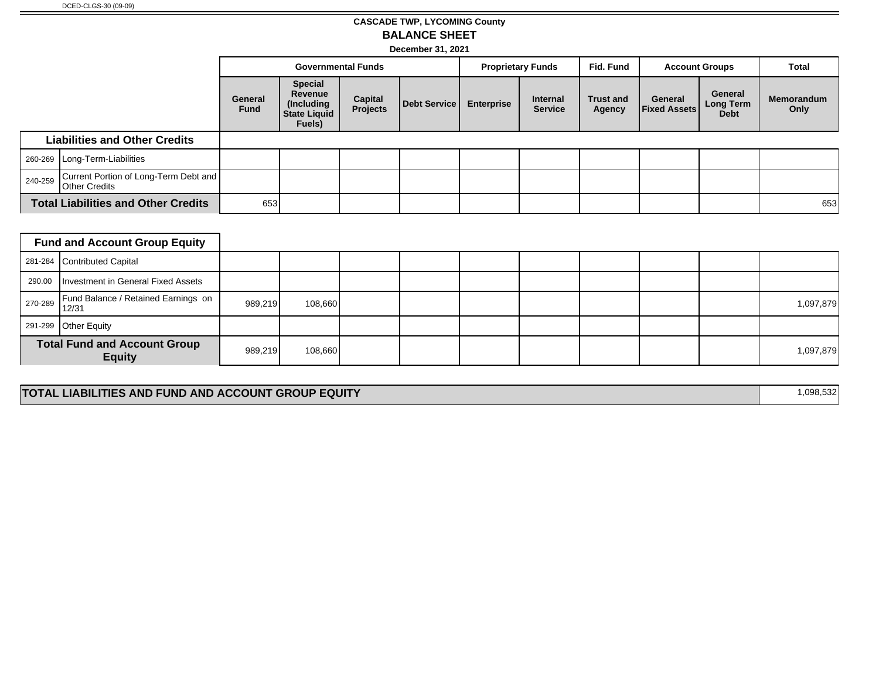## **CASCADE TWP, LYCOMING County BALANCE SHEET**

**December 31, 2021**

|                                                                          |                                            | <b>Governmental Funds</b> |                                                                          | <b>Proprietary Funds</b>   |              | Fid. Fund         | <b>Account Groups</b>             |                            | Total                          |                                     |                           |
|--------------------------------------------------------------------------|--------------------------------------------|---------------------------|--------------------------------------------------------------------------|----------------------------|--------------|-------------------|-----------------------------------|----------------------------|--------------------------------|-------------------------------------|---------------------------|
|                                                                          |                                            | General<br><b>Fund</b>    | <b>Special</b><br>Revenue<br>(Including<br><b>State Liquid</b><br>Fuels) | <b>Capital</b><br>Projects | Debt Service | <b>Enterprise</b> | <b>Internal</b><br><b>Service</b> | <b>Trust and</b><br>Agency | General<br><b>Fixed Assets</b> | General<br>Long Term<br><b>Debt</b> | <b>Memorandum</b><br>Only |
| <b>Liabilities and Other Credits</b>                                     |                                            |                           |                                                                          |                            |              |                   |                                   |                            |                                |                                     |                           |
|                                                                          | 260-269   Long-Term-Liabilities            |                           |                                                                          |                            |              |                   |                                   |                            |                                |                                     |                           |
| Current Portion of Long-Term Debt and<br>240-259<br><b>Other Credits</b> |                                            |                           |                                                                          |                            |              |                   |                                   |                            |                                |                                     |                           |
|                                                                          | <b>Total Liabilities and Other Credits</b> | 653                       |                                                                          |                            |              |                   |                                   |                            |                                |                                     | 653                       |

|         | <b>Fund and Account Group Equity</b>                 |         |         |  |  |  |           |
|---------|------------------------------------------------------|---------|---------|--|--|--|-----------|
|         | 281-284 Contributed Capital                          |         |         |  |  |  |           |
| 290.00  | Investment in General Fixed Assets                   |         |         |  |  |  |           |
| 270-289 | Fund Balance / Retained Earnings on<br>112/31        | 989,219 | 108,660 |  |  |  | 1,097,879 |
|         | 291-299 Other Equity                                 |         |         |  |  |  |           |
|         | <b>Total Fund and Account Group</b><br><b>Equity</b> | 989,219 | 108,660 |  |  |  | 1,097,879 |

#### **TOTAL LIABILITIES AND FUND AND ACCOUNT GROUP EQUITY 1,098,532**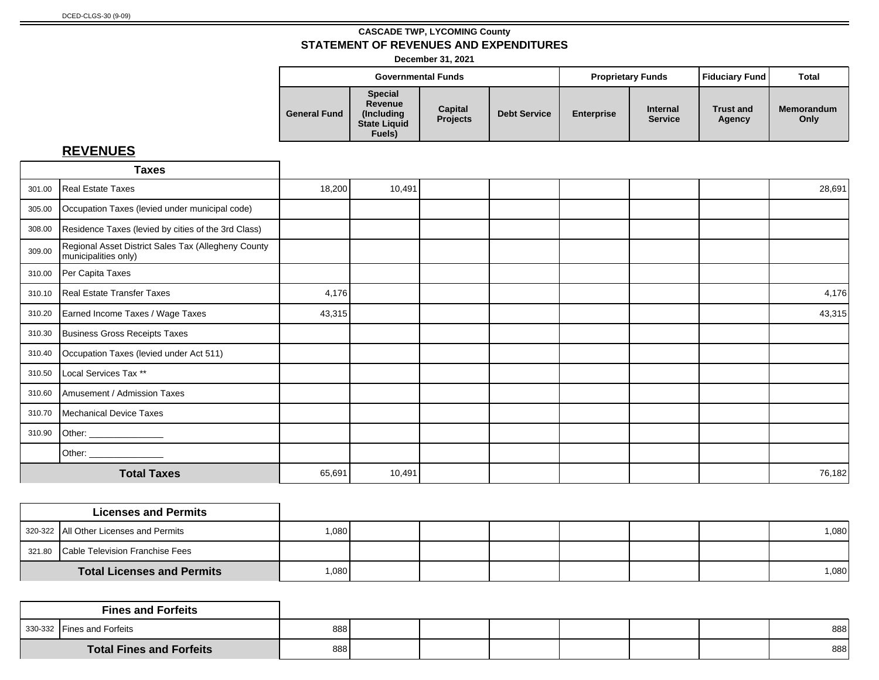**December 31, 2021**

|                     |                                                                           | <b>Governmental Funds</b>  |                     |                   | <b>Proprietary Funds</b>          | Fiduciary Fund             | Total                     |
|---------------------|---------------------------------------------------------------------------|----------------------------|---------------------|-------------------|-----------------------------------|----------------------------|---------------------------|
| <b>General Fund</b> | <b>Special</b><br>Revenue<br>(Including)<br><b>State Liquid</b><br>Fuels) | Capital<br><b>Projects</b> | <b>Debt Service</b> | <b>Enterprise</b> | <b>Internal</b><br><b>Service</b> | <b>Trust and</b><br>Agency | <b>Memorandum</b><br>Only |

|        | <b>Taxes</b>                                                                |        |        |  |  |        |
|--------|-----------------------------------------------------------------------------|--------|--------|--|--|--------|
| 301.00 | Real Estate Taxes                                                           | 18,200 | 10,491 |  |  | 28,691 |
| 305.00 | Occupation Taxes (levied under municipal code)                              |        |        |  |  |        |
| 308.00 | Residence Taxes (levied by cities of the 3rd Class)                         |        |        |  |  |        |
| 309.00 | Regional Asset District Sales Tax (Allegheny County<br>municipalities only) |        |        |  |  |        |
| 310.00 | Per Capita Taxes                                                            |        |        |  |  |        |
| 310.10 | Real Estate Transfer Taxes                                                  | 4,176  |        |  |  | 4,176  |
| 310.20 | Earned Income Taxes / Wage Taxes                                            | 43,315 |        |  |  | 43,315 |
| 310.30 | Business Gross Receipts Taxes                                               |        |        |  |  |        |
| 310.40 | Occupation Taxes (levied under Act 511)                                     |        |        |  |  |        |
| 310.50 | Local Services Tax **                                                       |        |        |  |  |        |
| 310.60 | Amusement / Admission Taxes                                                 |        |        |  |  |        |
| 310.70 | Mechanical Device Taxes                                                     |        |        |  |  |        |
| 310.90 | Other: ______________                                                       |        |        |  |  |        |
|        | Other: _________________                                                    |        |        |  |  |        |
|        | <b>Total Taxes</b>                                                          | 65,691 | 10,491 |  |  | 76,182 |

| <b>Licenses and Permits</b>            |         |  |  |  |         |
|----------------------------------------|---------|--|--|--|---------|
| 320-322 All Other Licenses and Permits | ا080. ا |  |  |  | ا 080.1 |
| 321.80 Cable Television Franchise Fees |         |  |  |  |         |
| <b>Total Licenses and Permits</b>      | 1,080   |  |  |  | 1,080   |

| <b>Fines and Forfeits</b>       |     |  |  |  |     |
|---------------------------------|-----|--|--|--|-----|
| 330-332 Fines and Forfeits      | 888 |  |  |  | 888 |
| <b>Total Fines and Forfeits</b> | 888 |  |  |  | 888 |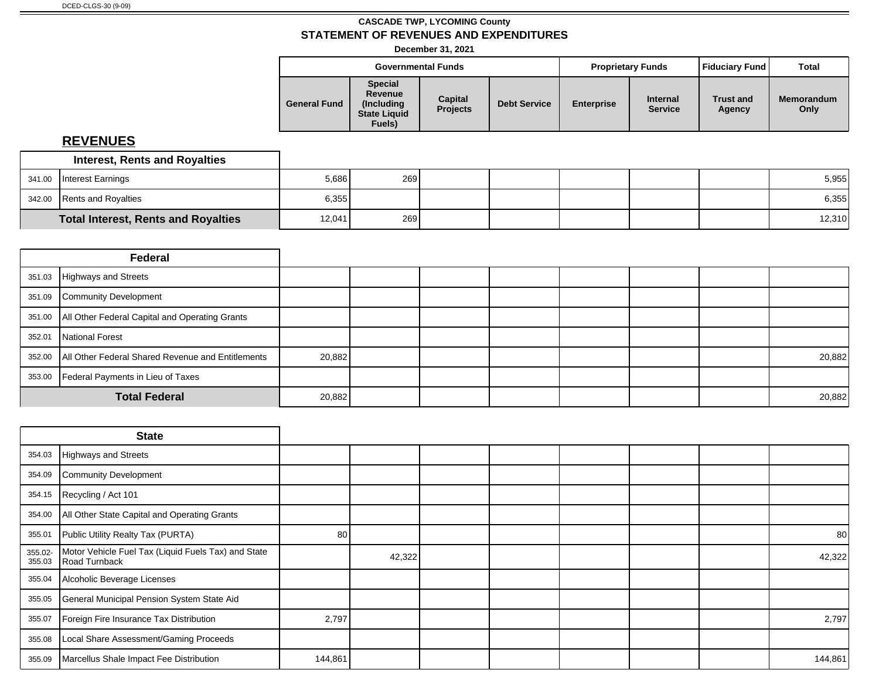**December 31, 2021**

| <b>Special</b><br>Revenue<br>Capital<br><b>Memorandum</b><br><b>Internal</b><br><b>Trust and</b><br><b>Enterprise</b><br><b>General Fund</b><br><b>Debt Service</b><br>(Including)<br><b>Projects</b><br><b>Service</b><br>Only<br>Agency<br><b>State Liquid</b><br>Fuels) |  | <b>Governmental Funds</b> |  | <b>Fiduciary Fund</b><br><b>Proprietary Funds</b> |  |  |  |
|----------------------------------------------------------------------------------------------------------------------------------------------------------------------------------------------------------------------------------------------------------------------------|--|---------------------------|--|---------------------------------------------------|--|--|--|
|                                                                                                                                                                                                                                                                            |  |                           |  |                                                   |  |  |  |

| <b>Interest, Rents and Royalties</b>       |        |     |  |  |        |
|--------------------------------------------|--------|-----|--|--|--------|
| 341.00 Interest Earnings                   | 5,686  | 269 |  |  | 5,955  |
| 342.00 Rents and Royalties                 | 6,355  |     |  |  | 6,355  |
| <b>Total Interest, Rents and Royalties</b> | 12,041 | 269 |  |  | 12,310 |

|        | Federal                                                  |        |  |  |  |        |
|--------|----------------------------------------------------------|--------|--|--|--|--------|
|        | 351.03 Highways and Streets                              |        |  |  |  |        |
| 351.09 | Community Development                                    |        |  |  |  |        |
|        | 351.00   All Other Federal Capital and Operating Grants  |        |  |  |  |        |
|        | 352.01   National Forest                                 |        |  |  |  |        |
|        | 352.00 All Other Federal Shared Revenue and Entitlements | 20,882 |  |  |  | 20,882 |
|        | 353.00   Federal Payments in Lieu of Taxes               |        |  |  |  |        |
|        | <b>Total Federal</b>                                     |        |  |  |  | 20,882 |

|                   | <b>State</b>                                                         |         |        |  |  |         |
|-------------------|----------------------------------------------------------------------|---------|--------|--|--|---------|
| 354.03            | Highways and Streets                                                 |         |        |  |  |         |
| 354.09            | Community Development                                                |         |        |  |  |         |
| 354.15            | Recycling / Act 101                                                  |         |        |  |  |         |
| 354.00            | All Other State Capital and Operating Grants                         |         |        |  |  |         |
| 355.01            | Public Utility Realty Tax (PURTA)                                    | 80      |        |  |  | 80      |
| 355.02-<br>355.03 | Motor Vehicle Fuel Tax (Liquid Fuels Tax) and State<br>Road Turnback |         | 42,322 |  |  | 42,322  |
| 355.04            | Alcoholic Beverage Licenses                                          |         |        |  |  |         |
| 355.05            | General Municipal Pension System State Aid                           |         |        |  |  |         |
| 355.07            | Foreign Fire Insurance Tax Distribution                              | 2,797   |        |  |  | 2,797   |
| 355.08            | Local Share Assessment/Gaming Proceeds                               |         |        |  |  |         |
| 355.09            | Marcellus Shale Impact Fee Distribution                              | 144,861 |        |  |  | 144,861 |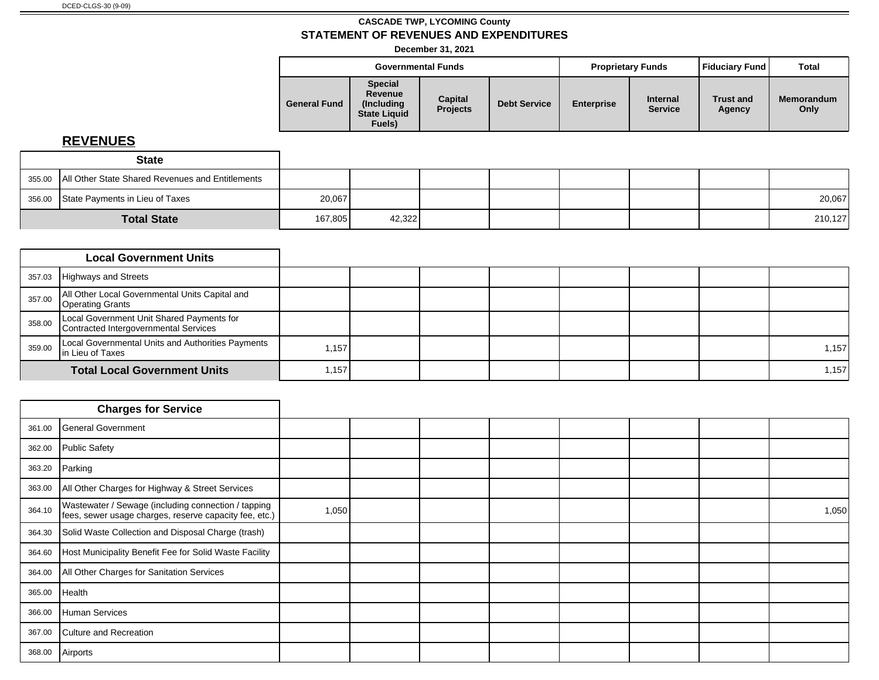**December 31, 2021**

|                     |                                                                           | <b>Governmental Funds</b>         |                     |                   | <b>Proprietary Funds</b>          | <b>Fiduciary Fund</b>      | <b>Total</b>              |
|---------------------|---------------------------------------------------------------------------|-----------------------------------|---------------------|-------------------|-----------------------------------|----------------------------|---------------------------|
| <b>General Fund</b> | <b>Special</b><br>Revenue<br>(Including)<br><b>State Liquid</b><br>Fuels) | <b>Capital</b><br><b>Projects</b> | <b>Debt Service</b> | <b>Enterprise</b> | <b>Internal</b><br><b>Service</b> | <b>Trust and</b><br>Agency | <b>Memorandum</b><br>Only |

| <b>State</b>                                              |         |        |  |  |         |
|-----------------------------------------------------------|---------|--------|--|--|---------|
| 355.00   All Other State Shared Revenues and Entitlements |         |        |  |  |         |
| 356.00 State Payments in Lieu of Taxes                    | 20,067  |        |  |  | 20,067  |
| <b>Total State</b>                                        | 167,805 | 42,322 |  |  | 210,127 |

|        | <b>Local Government Units</b>                                                      |       |  |  |  |       |
|--------|------------------------------------------------------------------------------------|-------|--|--|--|-------|
| 357.03 | Highways and Streets                                                               |       |  |  |  |       |
| 357.00 | All Other Local Governmental Units Capital and<br>Operating Grants                 |       |  |  |  |       |
| 358.00 | Local Government Unit Shared Payments for<br>Contracted Intergovernmental Services |       |  |  |  |       |
| 359.00 | Local Governmental Units and Authorities Payments<br>In Lieu of Taxes              | 1,157 |  |  |  | 1,157 |
|        | <b>Total Local Government Units</b>                                                | 1,157 |  |  |  | 1,157 |

|        | <b>Charges for Service</b>                                                                                    |       |  |  |  |       |
|--------|---------------------------------------------------------------------------------------------------------------|-------|--|--|--|-------|
| 361.00 | General Government                                                                                            |       |  |  |  |       |
| 362.00 | Public Safety                                                                                                 |       |  |  |  |       |
| 363.20 | Parking                                                                                                       |       |  |  |  |       |
| 363.00 | All Other Charges for Highway & Street Services                                                               |       |  |  |  |       |
| 364.10 | Wastewater / Sewage (including connection / tapping<br>fees, sewer usage charges, reserve capacity fee, etc.) | 1,050 |  |  |  | 1,050 |
| 364.30 | Solid Waste Collection and Disposal Charge (trash)                                                            |       |  |  |  |       |
| 364.60 | Host Municipality Benefit Fee for Solid Waste Facility                                                        |       |  |  |  |       |
| 364.00 | All Other Charges for Sanitation Services                                                                     |       |  |  |  |       |
| 365.00 | Health                                                                                                        |       |  |  |  |       |
| 366.00 | Human Services                                                                                                |       |  |  |  |       |
| 367.00 | Culture and Recreation                                                                                        |       |  |  |  |       |
| 368.00 | Airports                                                                                                      |       |  |  |  |       |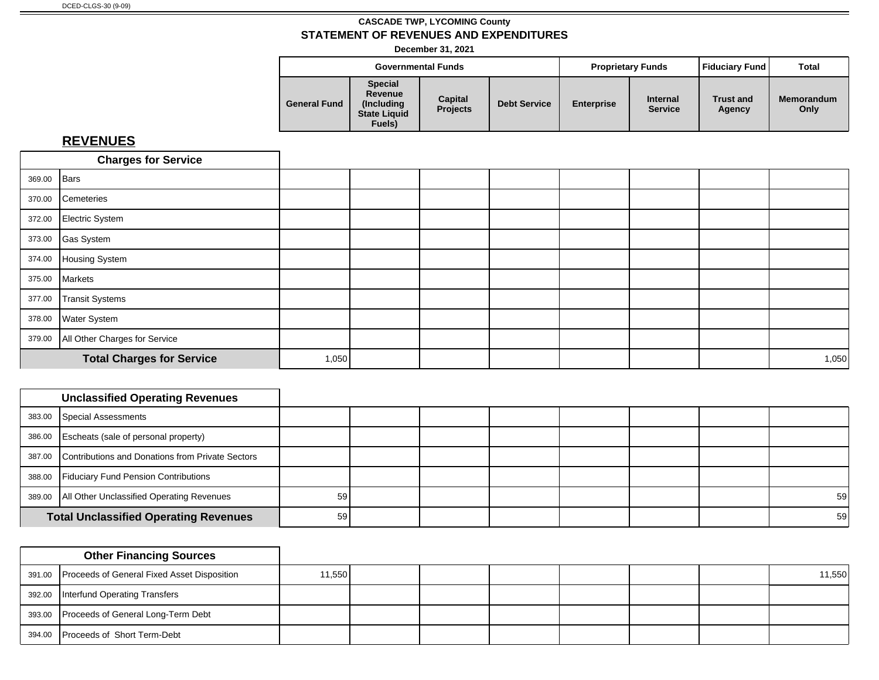**December 31, 2021**

|                     |                                                                           | <b>Governmental Funds</b>  |                     |                   | <b>Proprietary Funds</b>          | Fiduciary Fund             | Total                     |
|---------------------|---------------------------------------------------------------------------|----------------------------|---------------------|-------------------|-----------------------------------|----------------------------|---------------------------|
| <b>General Fund</b> | <b>Special</b><br>Revenue<br>(Including)<br><b>State Liquid</b><br>Fuels) | Capital<br><b>Projects</b> | <b>Debt Service</b> | <b>Enterprise</b> | <b>Internal</b><br><b>Service</b> | <b>Trust and</b><br>Agency | <b>Memorandum</b><br>Only |

|             | <b>Charges for Service</b>           |       |  |  |  |       |
|-------------|--------------------------------------|-------|--|--|--|-------|
| 369.00 Bars |                                      |       |  |  |  |       |
|             | 370.00 Cemeteries                    |       |  |  |  |       |
|             | 372.00 Electric System               |       |  |  |  |       |
|             | 373.00 Gas System                    |       |  |  |  |       |
|             | 374.00 Housing System                |       |  |  |  |       |
|             | 375.00 Markets                       |       |  |  |  |       |
| 377.00      | Transit Systems                      |       |  |  |  |       |
|             | 378.00 Water System                  |       |  |  |  |       |
|             | 379.00 All Other Charges for Service |       |  |  |  |       |
|             | <b>Total Charges for Service</b>     | 1,050 |  |  |  | 1,050 |

| <b>Unclassified Operating Revenues</b>                  |    |  |  |  |                 |
|---------------------------------------------------------|----|--|--|--|-----------------|
| 383.00 Special Assessments                              |    |  |  |  |                 |
| 386.00 Escheats (sale of personal property)             |    |  |  |  |                 |
| 387.00 Contributions and Donations from Private Sectors |    |  |  |  |                 |
| 388.00 Fiduciary Fund Pension Contributions             |    |  |  |  |                 |
| 389.00   All Other Unclassified Operating Revenues      | 59 |  |  |  | 59 <sub>l</sub> |
| <b>Total Unclassified Operating Revenues</b>            | 59 |  |  |  | 59              |

|        | <b>Other Financing Sources</b>                     |        |  |  |  |        |
|--------|----------------------------------------------------|--------|--|--|--|--------|
|        | 391.00 Proceeds of General Fixed Asset Disposition | 11,550 |  |  |  | 11,550 |
|        | 392.00 Interfund Operating Transfers               |        |  |  |  |        |
|        | 393.00 Proceeds of General Long-Term Debt          |        |  |  |  |        |
| 394.00 | Proceeds of Short Term-Debt                        |        |  |  |  |        |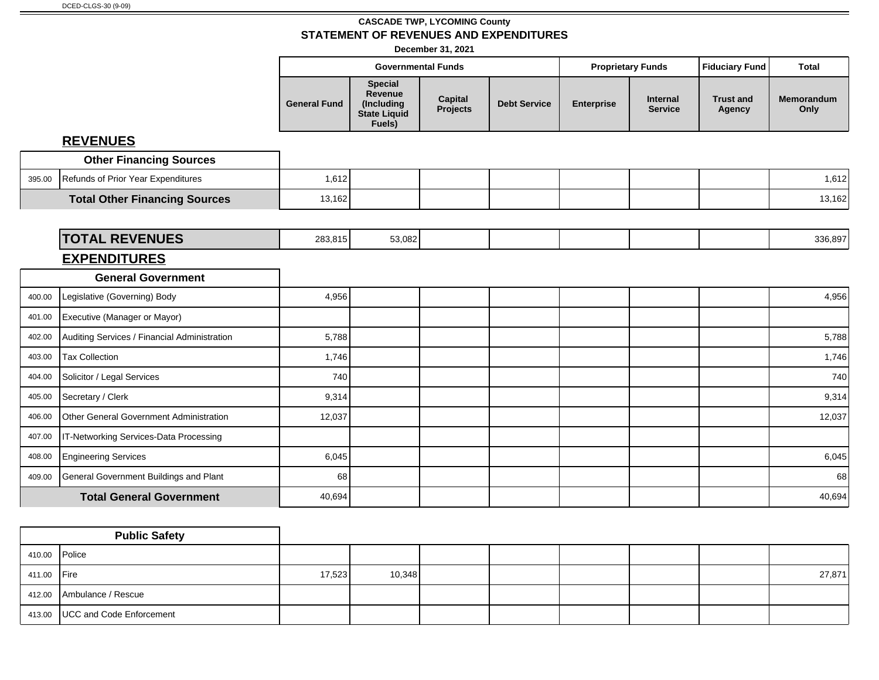**December 31, 2021**

|        |                                              |                     | <b>Governmental Funds</b>                                                       |                     |                     |                   | <b>Proprietary Funds</b>          | <b>Fiduciary Fund</b>      | <b>Total</b>              |
|--------|----------------------------------------------|---------------------|---------------------------------------------------------------------------------|---------------------|---------------------|-------------------|-----------------------------------|----------------------------|---------------------------|
|        |                                              | <b>General Fund</b> | <b>Special</b><br><b>Revenue</b><br>(Including<br><b>State Liquid</b><br>Fuels) | Capital<br>Projects | <b>Debt Service</b> | <b>Enterprise</b> | <b>Internal</b><br><b>Service</b> | <b>Trust and</b><br>Agency | <b>Memorandum</b><br>Only |
|        | <b>REVENUES</b>                              |                     |                                                                                 |                     |                     |                   |                                   |                            |                           |
|        | <b>Other Financing Sources</b>               |                     |                                                                                 |                     |                     |                   |                                   |                            |                           |
| 395.00 | Refunds of Prior Year Expenditures           | 1,612               |                                                                                 |                     |                     |                   |                                   |                            | 1,612                     |
|        | <b>Total Other Financing Sources</b>         | 13,162              |                                                                                 |                     |                     |                   |                                   |                            | 13,162                    |
|        |                                              |                     |                                                                                 |                     |                     |                   |                                   |                            |                           |
|        | <b>TOTAL REVENUES</b>                        | 283,815             | 53,082                                                                          |                     |                     |                   |                                   |                            | 336,897                   |
|        | <b>EXPENDITURES</b>                          |                     |                                                                                 |                     |                     |                   |                                   |                            |                           |
|        | <b>General Government</b>                    |                     |                                                                                 |                     |                     |                   |                                   |                            |                           |
| 400.00 | Legislative (Governing) Body                 | 4,956               |                                                                                 |                     |                     |                   |                                   |                            | 4,956                     |
| 401.00 | Executive (Manager or Mayor)                 |                     |                                                                                 |                     |                     |                   |                                   |                            |                           |
| 402.00 | Auditing Services / Financial Administration | 5,788               |                                                                                 |                     |                     |                   |                                   |                            | 5,788                     |
| 403.00 | Tax Collection                               | 1,746               |                                                                                 |                     |                     |                   |                                   |                            | 1,746                     |
| 404.00 | Solicitor / Legal Services                   | 740                 |                                                                                 |                     |                     |                   |                                   |                            | 740                       |
| 405.00 | Secretary / Clerk                            | 9,314               |                                                                                 |                     |                     |                   |                                   |                            | 9,314                     |
| 406.00 | Other General Government Administration      | 12,037              |                                                                                 |                     |                     |                   |                                   |                            | 12,037                    |
| 407.00 | IT-Networking Services-Data Processing       |                     |                                                                                 |                     |                     |                   |                                   |                            |                           |
| 408.00 | Engineering Services                         | 6,045               |                                                                                 |                     |                     |                   |                                   |                            | 6,045                     |
| 409.00 | General Government Buildings and Plant       | 68                  |                                                                                 |                     |                     |                   |                                   |                            | 68                        |
|        | <b>Total General Government</b>              | 40,694              |                                                                                 |                     |                     |                   |                                   |                            | 40,694                    |

|               | <b>Public Safety</b>              |        |        |  |  |        |
|---------------|-----------------------------------|--------|--------|--|--|--------|
| 410.00 Police |                                   |        |        |  |  |        |
| 411.00 Fire   |                                   | 17,523 | 10,348 |  |  | 27,871 |
|               | 412.00 Ambulance / Rescue         |        |        |  |  |        |
|               | 413.00   UCC and Code Enforcement |        |        |  |  |        |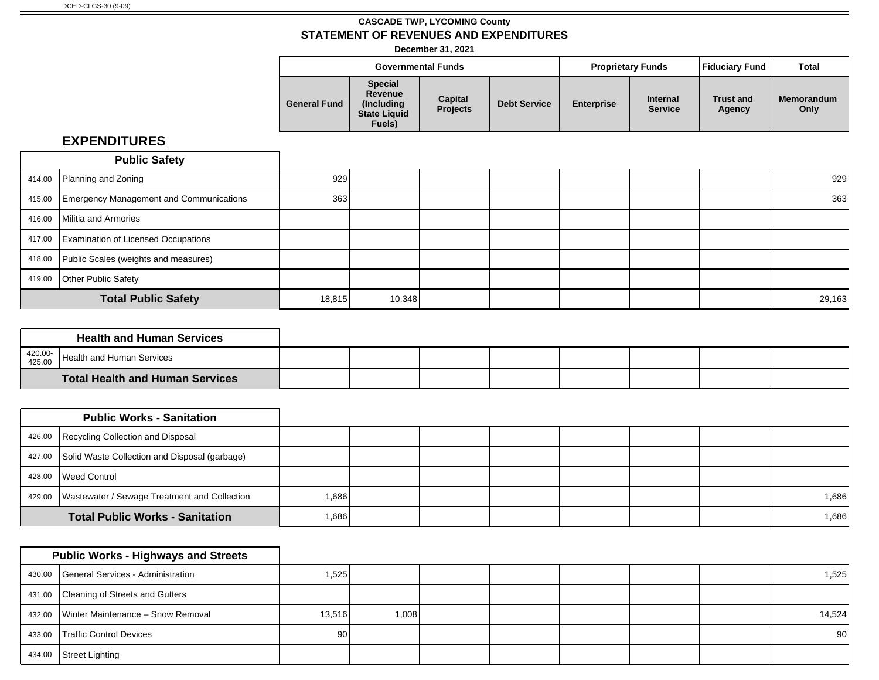**December 31, 2021**

|                     |                                                                           | <b>Governmental Funds</b>  |                     | <b>Proprietary Funds</b> |                                   | Fiduciary Fund             | <b>Total</b>              |
|---------------------|---------------------------------------------------------------------------|----------------------------|---------------------|--------------------------|-----------------------------------|----------------------------|---------------------------|
| <b>General Fund</b> | <b>Special</b><br>Revenue<br>(Including)<br><b>State Liquid</b><br>Fuels) | Capital<br><b>Projects</b> | <b>Debt Service</b> | <b>Enterprise</b>        | <b>Internal</b><br><b>Service</b> | <b>Trust and</b><br>Agency | <b>Memorandum</b><br>Only |

|        | <b>Public Safety</b>                           |        |        |  |  |        |
|--------|------------------------------------------------|--------|--------|--|--|--------|
|        | 414.00 Planning and Zoning                     | 929    |        |  |  | 929    |
| 415.00 | <b>Emergency Management and Communications</b> | 363    |        |  |  | 363    |
| 416.00 | Militia and Armories                           |        |        |  |  |        |
|        | 417.00 Examination of Licensed Occupations     |        |        |  |  |        |
| 418.00 | Public Scales (weights and measures)           |        |        |  |  |        |
| 419.00 | Other Public Safety                            |        |        |  |  |        |
|        | <b>Total Public Safety</b>                     | 18,815 | 10,348 |  |  | 29,163 |

|                   | <b>Health and Human Services</b>       |  |  |  |  |
|-------------------|----------------------------------------|--|--|--|--|
| 420.00-<br>425.00 | Health and Human Services              |  |  |  |  |
|                   | <b>Total Health and Human Services</b> |  |  |  |  |

|        | <b>Public Works - Sanitation</b>                      |        |        |  |  |       |
|--------|-------------------------------------------------------|--------|--------|--|--|-------|
|        | 426.00 Recycling Collection and Disposal              |        |        |  |  |       |
|        | 427.00 Solid Waste Collection and Disposal (garbage)  |        |        |  |  |       |
| 428.00 | Weed Control                                          |        |        |  |  |       |
|        | 429.00   Wastewater / Sewage Treatment and Collection | 1,6861 |        |  |  | 1,686 |
|        | <b>Total Public Works - Sanitation</b>                |        | 686, ا |  |  | 1,686 |

|        | <b>Public Works - Highways and Streets</b> |        |       |  |  |                 |
|--------|--------------------------------------------|--------|-------|--|--|-----------------|
|        | 430.00 General Services - Administration   | .525   |       |  |  | 1,525           |
|        | 431.00 Cleaning of Streets and Gutters     |        |       |  |  |                 |
|        | 432.00 Winter Maintenance - Snow Removal   | 13,516 | 1,008 |  |  | 14,524          |
| 433.00 | <b>Traffic Control Devices</b>             | 90     |       |  |  | 90 <sup>°</sup> |
| 434.00 | Street Lighting                            |        |       |  |  |                 |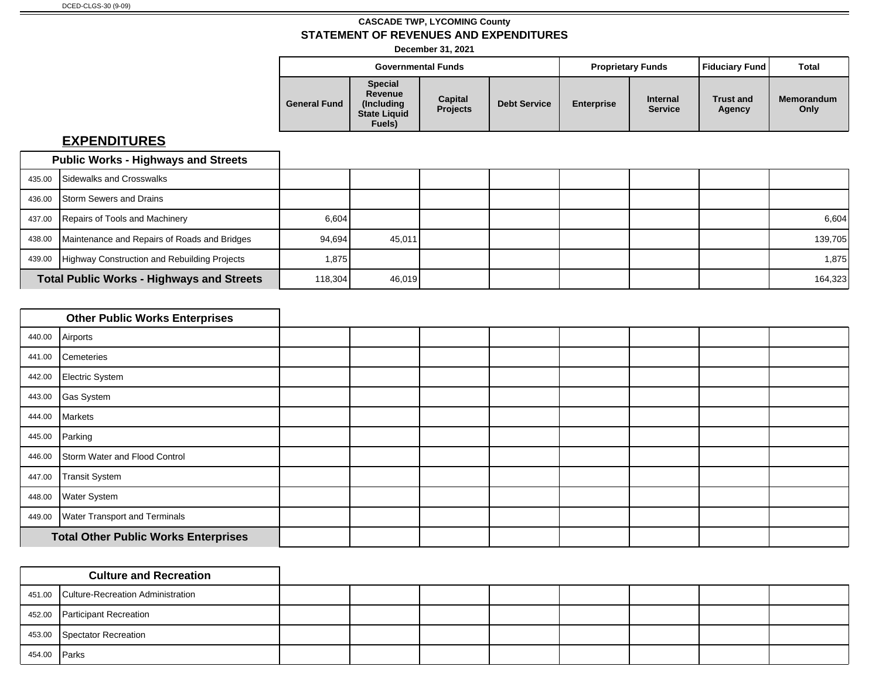**December 31, 2021**

|                     |                                                                           | <b>Governmental Funds</b>  |                     |                   | <b>Proprietary Funds</b>          | Fiduciary Fund             | Total                     |
|---------------------|---------------------------------------------------------------------------|----------------------------|---------------------|-------------------|-----------------------------------|----------------------------|---------------------------|
| <b>General Fund</b> | <b>Special</b><br>Revenue<br>(Including)<br><b>State Liquid</b><br>Fuels) | Capital<br><b>Projects</b> | <b>Debt Service</b> | <b>Enterprise</b> | <b>Internal</b><br><b>Service</b> | <b>Trust and</b><br>Agency | <b>Memorandum</b><br>Only |

|        | <b>Public Works - Highways and Streets</b>          |         |        |  |  |         |
|--------|-----------------------------------------------------|---------|--------|--|--|---------|
|        | 435.00 Sidewalks and Crosswalks                     |         |        |  |  |         |
| 436.00 | <b>I</b> Storm Sewers and Drains                    |         |        |  |  |         |
|        | 437.00 Repairs of Tools and Machinery               | 6,604   |        |  |  | 6,604   |
| 438.00 | Maintenance and Repairs of Roads and Bridges        | 94,694  | 45.011 |  |  | 139,705 |
|        | 439.00 Highway Construction and Rebuilding Projects | 1,875   |        |  |  | 1,875   |
|        | <b>Total Public Works - Highways and Streets</b>    | 118,304 | 46,019 |  |  | 164,323 |

|        | <b>Other Public Works Enterprises</b>       |  |  |  |  |
|--------|---------------------------------------------|--|--|--|--|
| 440.00 | Airports                                    |  |  |  |  |
| 441.00 | Cemeteries                                  |  |  |  |  |
| 442.00 | Electric System                             |  |  |  |  |
|        | 443.00 Gas System                           |  |  |  |  |
|        | 444.00 Markets                              |  |  |  |  |
| 445.00 | Parking                                     |  |  |  |  |
| 446.00 | Storm Water and Flood Control               |  |  |  |  |
| 447.00 | Transit System                              |  |  |  |  |
| 448.00 | <b>Water System</b>                         |  |  |  |  |
| 449.00 | <b>Water Transport and Terminals</b>        |  |  |  |  |
|        | <b>Total Other Public Works Enterprises</b> |  |  |  |  |

|        | <b>Culture and Recreation</b>            |  |  |  |  |
|--------|------------------------------------------|--|--|--|--|
|        | 451.00 Culture-Recreation Administration |  |  |  |  |
| 452.00 | <b>Participant Recreation</b>            |  |  |  |  |
|        | 453.00 Spectator Recreation              |  |  |  |  |
| 454.00 | <b>Parks</b>                             |  |  |  |  |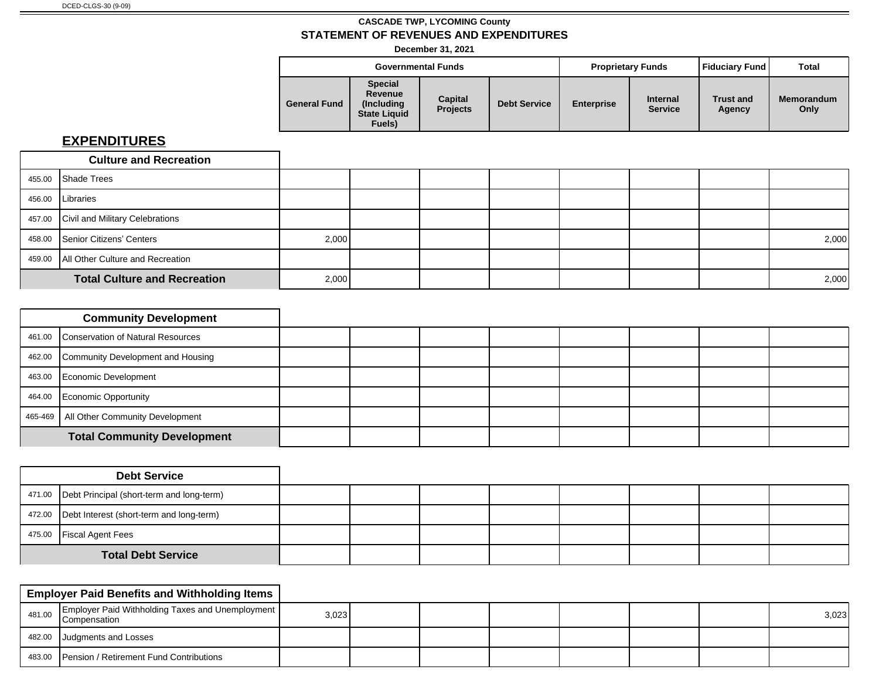**December 31, 2021**

|                     |                                                                           | <b>Governmental Funds</b>  |                     | <b>Proprietary Funds</b> |                                   | Fiduciary Fund             | <b>Total</b>              |
|---------------------|---------------------------------------------------------------------------|----------------------------|---------------------|--------------------------|-----------------------------------|----------------------------|---------------------------|
| <b>General Fund</b> | <b>Special</b><br>Revenue<br>(Includina)<br><b>State Liquid</b><br>Fuels) | Capital<br><b>Projects</b> | <b>Debt Service</b> | <b>Enterprise</b>        | <b>Internal</b><br><b>Service</b> | <b>Trust and</b><br>Agency | <b>Memorandum</b><br>Only |

| <b>Culture and Recreation</b>             |       |       |  |  |       |
|-------------------------------------------|-------|-------|--|--|-------|
| 455.00 Shade Trees                        |       |       |  |  |       |
| 456.00   Libraries                        |       |       |  |  |       |
| 457.00 Civil and Military Celebrations    |       |       |  |  |       |
| 458.00 Senior Citizens' Centers           | 2,000 |       |  |  | 2,000 |
| 459.00   All Other Culture and Recreation |       |       |  |  |       |
| <b>Total Culture and Recreation</b>       |       | 2,000 |  |  | 2,000 |

| <b>Community Development</b>              |  |  |  |  |  |
|-------------------------------------------|--|--|--|--|--|
| 461.00 Conservation of Natural Resources  |  |  |  |  |  |
| 462.00 Community Development and Housing  |  |  |  |  |  |
| 463.00 Economic Development               |  |  |  |  |  |
| 464.00 Economic Opportunity               |  |  |  |  |  |
| 465-469   All Other Community Development |  |  |  |  |  |
| <b>Total Community Development</b>        |  |  |  |  |  |

|                           | <b>Debt Service</b>                                |  |  |  |  |
|---------------------------|----------------------------------------------------|--|--|--|--|
|                           | 471.00   Debt Principal (short-term and long-term) |  |  |  |  |
|                           | 472.00 Debt Interest (short-term and long-term)    |  |  |  |  |
|                           | 475.00   Fiscal Agent Fees                         |  |  |  |  |
| <b>Total Debt Service</b> |                                                    |  |  |  |  |

|        | <b>Employer Paid Benefits and Withholding Items</b>                |       |  |  |  |       |
|--------|--------------------------------------------------------------------|-------|--|--|--|-------|
| 481.00 | Employer Paid Withholding Taxes and Unemployment  <br>Compensation | 3,023 |  |  |  | 3,023 |
|        | 482.00 Judgments and Losses                                        |       |  |  |  |       |
|        | 483.00 Pension / Retirement Fund Contributions                     |       |  |  |  |       |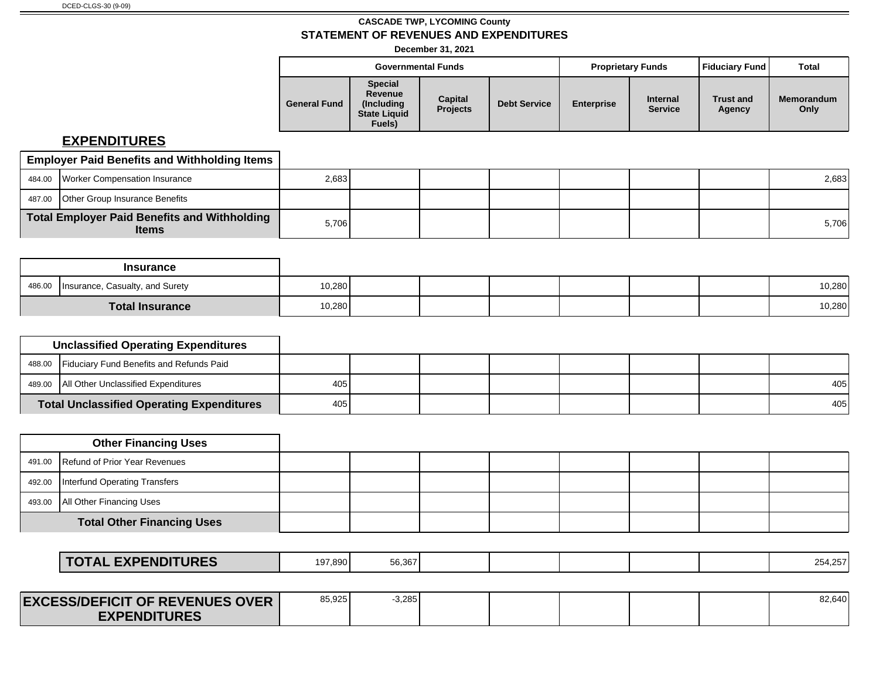**December 31, 2021**

|                     |                                                                           | <b>Governmental Funds</b>  |                     |                   | <b>Proprietary Funds</b>          | <b>Fiduciary Fund</b>      | Total              |
|---------------------|---------------------------------------------------------------------------|----------------------------|---------------------|-------------------|-----------------------------------|----------------------------|--------------------|
| <b>General Fund</b> | <b>Special</b><br>Revenue<br>(Including)<br><b>State Liquid</b><br>Fuels) | Capital<br><b>Projects</b> | <b>Debt Service</b> | <b>Enterprise</b> | <b>Internal</b><br><b>Service</b> | <b>Trust and</b><br>Agency | Memorandum<br>Only |

| <b>Employer Paid Benefits and Withholding Items</b>          |       |  |  |  |       |
|--------------------------------------------------------------|-------|--|--|--|-------|
| 484.00 Worker Compensation Insurance                         | 2,683 |  |  |  | 2,683 |
| 487.00 Other Group Insurance Benefits                        |       |  |  |  |       |
| Total Employer Paid Benefits and Withholding<br><b>Items</b> | 5,706 |  |  |  | 5,706 |

|        | <b>Insurance</b>                |        |  |  |  |        |
|--------|---------------------------------|--------|--|--|--|--------|
| 486.00 | Insurance, Casualty, and Surety | 10,280 |  |  |  | 10,280 |
|        | <b>Total Insurance</b>          | 10,280 |  |  |  | 10,280 |

|                                                  | <b>Unclassified Operating Expenditures</b>      |     |  |  |  |     |
|--------------------------------------------------|-------------------------------------------------|-----|--|--|--|-----|
|                                                  | 488.00 Fiduciary Fund Benefits and Refunds Paid |     |  |  |  |     |
|                                                  | 489.00   All Other Unclassified Expenditures    | 405 |  |  |  | 405 |
| <b>Total Unclassified Operating Expenditures</b> |                                                 | 405 |  |  |  | 405 |

| <b>Other Financing Uses</b>            |  |  |  |  |
|----------------------------------------|--|--|--|--|
| 491.00 Refund of Prior Year Revenues   |  |  |  |  |
| 492.00   Interfund Operating Transfers |  |  |  |  |
| 493.00   All Other Financing Uses      |  |  |  |  |
| <b>Total Other Financing Uses</b>      |  |  |  |  |

| <b>TURES</b><br><b>EXPENDIT</b><br>mol<br>$\mathbf{A}$<br><i>E</i> ap<br>$\sim$ 1 m $\sim$ 1 $\sim$ | 197,890 | 56.367 |  |  |  |  |  | $\sqrt{2}$<br>254,25 |
|-----------------------------------------------------------------------------------------------------|---------|--------|--|--|--|--|--|----------------------|
|-----------------------------------------------------------------------------------------------------|---------|--------|--|--|--|--|--|----------------------|

| <b>EXCESS/DEFICIT OF REVENUES OVER</b> | 85,925 | 3,285 |  |  | 82,640 |
|----------------------------------------|--------|-------|--|--|--------|
| <b>EXPENDITURES</b>                    |        |       |  |  |        |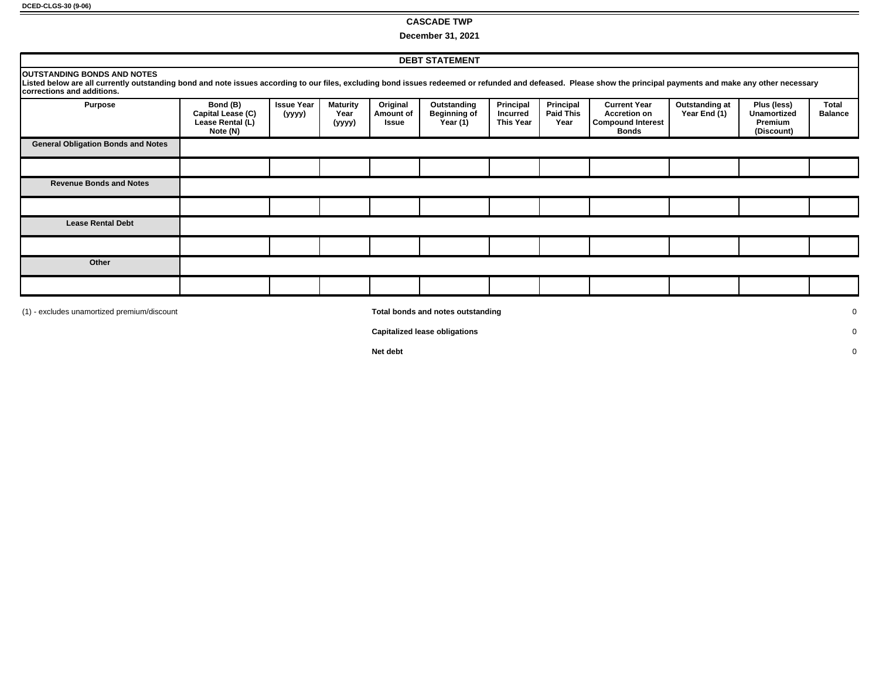#### **CASCADE TWP**

**December 31, 2021**

|                                                                                                                                                                                                                                                                                      |                                                               |                             |                                   |                                | <b>DEBT STATEMENT</b>                          |                                                  |                                       |                                                                                        |                                |                                                     |                         |
|--------------------------------------------------------------------------------------------------------------------------------------------------------------------------------------------------------------------------------------------------------------------------------------|---------------------------------------------------------------|-----------------------------|-----------------------------------|--------------------------------|------------------------------------------------|--------------------------------------------------|---------------------------------------|----------------------------------------------------------------------------------------|--------------------------------|-----------------------------------------------------|-------------------------|
| <b>OUTSTANDING BONDS AND NOTES</b><br>Listed below are all currently outstanding bond and note issues according to our files, excluding bond issues redeemed or refunded and defeased. Please show the principal payments and make any other necessary<br>corrections and additions. |                                                               |                             |                                   |                                |                                                |                                                  |                                       |                                                                                        |                                |                                                     |                         |
| <b>Purpose</b>                                                                                                                                                                                                                                                                       | Bond (B)<br>Capital Lease (C)<br>Lease Rental (L)<br>Note (N) | <b>Issue Year</b><br>(yyyy) | <b>Maturity</b><br>Year<br>(yyyy) | Original<br>Amount of<br>Issue | Outstanding<br><b>Beginning of</b><br>Year (1) | Principal<br><b>Incurred</b><br><b>This Year</b> | Principal<br><b>Paid This</b><br>Year | <b>Current Year</b><br><b>Accretion on</b><br><b>Compound Interest</b><br><b>Bonds</b> | Outstanding at<br>Year End (1) | Plus (less)<br>Unamortized<br>Premium<br>(Discount) | Total<br><b>Balance</b> |
| <b>General Obligation Bonds and Notes</b>                                                                                                                                                                                                                                            |                                                               |                             |                                   |                                |                                                |                                                  |                                       |                                                                                        |                                |                                                     |                         |
|                                                                                                                                                                                                                                                                                      |                                                               |                             |                                   |                                |                                                |                                                  |                                       |                                                                                        |                                |                                                     |                         |
| <b>Revenue Bonds and Notes</b>                                                                                                                                                                                                                                                       |                                                               |                             |                                   |                                |                                                |                                                  |                                       |                                                                                        |                                |                                                     |                         |
|                                                                                                                                                                                                                                                                                      |                                                               |                             |                                   |                                |                                                |                                                  |                                       |                                                                                        |                                |                                                     |                         |
| <b>Lease Rental Debt</b>                                                                                                                                                                                                                                                             |                                                               |                             |                                   |                                |                                                |                                                  |                                       |                                                                                        |                                |                                                     |                         |
|                                                                                                                                                                                                                                                                                      |                                                               |                             |                                   |                                |                                                |                                                  |                                       |                                                                                        |                                |                                                     |                         |
| Other                                                                                                                                                                                                                                                                                |                                                               |                             |                                   |                                |                                                |                                                  |                                       |                                                                                        |                                |                                                     |                         |
|                                                                                                                                                                                                                                                                                      |                                                               |                             |                                   |                                |                                                |                                                  |                                       |                                                                                        |                                |                                                     |                         |
| (1) - excludes unamortized premium/discount                                                                                                                                                                                                                                          | Total bonds and notes outstanding<br>$\mathbf 0$              |                             |                                   |                                |                                                |                                                  |                                       |                                                                                        |                                |                                                     |                         |

**Capitalized lease obligations** 0

**Net debt** 0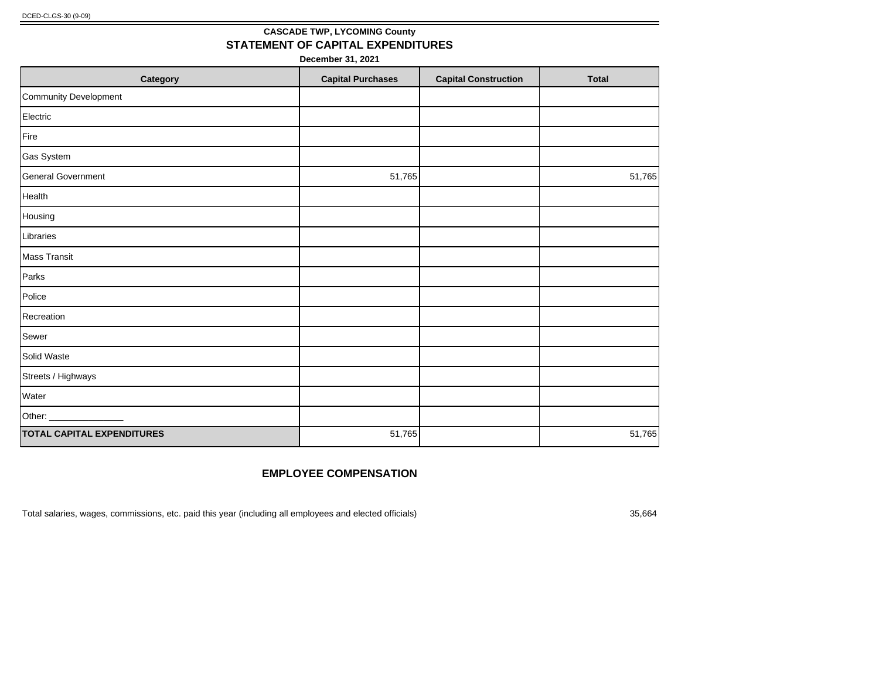### **CASCADE TWP, LYCOMING County STATEMENT OF CAPITAL EXPENDITURES**

**December 31, 2021**

| Category                          | <b>Capital Purchases</b> | <b>Capital Construction</b> | <b>Total</b> |
|-----------------------------------|--------------------------|-----------------------------|--------------|
| Community Development             |                          |                             |              |
| Electric                          |                          |                             |              |
| Fire                              |                          |                             |              |
| Gas System                        |                          |                             |              |
| General Government                | 51,765                   |                             | 51,765       |
| Health                            |                          |                             |              |
| Housing                           |                          |                             |              |
| Libraries                         |                          |                             |              |
| Mass Transit                      |                          |                             |              |
| Parks                             |                          |                             |              |
| Police                            |                          |                             |              |
| Recreation                        |                          |                             |              |
| Sewer                             |                          |                             |              |
| Solid Waste                       |                          |                             |              |
| Streets / Highways                |                          |                             |              |
| Water                             |                          |                             |              |
| Other: __________________         |                          |                             |              |
| <b>TOTAL CAPITAL EXPENDITURES</b> | 51,765                   |                             | 51,765       |

#### **EMPLOYEE COMPENSATION**

Total salaries, wages, commissions, etc. paid this year (including all employees and elected officials) 35,664